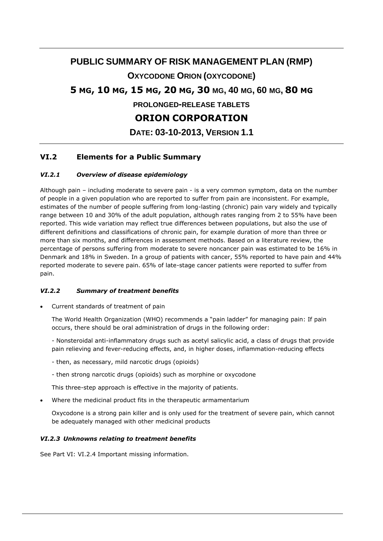## **PUBLIC SUMMARY OF RISK MANAGEMENT PLAN (RMP)**

## **OXYCODONE ORION (OXYCODONE)**

# **5 MG, 10 MG, 15 MG, 20 MG, 30 MG, 40 MG, 60 MG, 80 MG**

**PROLONGED-RELEASE TABLETS**

# **ORION CORPORATION**

**DATE: 03-10-2013, VERSION 1.1**

## **VI.2 Elements for a Public Summary**

#### *VI.2.1 Overview of disease epidemiology*

Although pain – including moderate to severe pain - is a very common symptom, data on the number of people in a given population who are reported to suffer from pain are inconsistent. For example, estimates of the number of people suffering from long-lasting (chronic) pain vary widely and typically range between 10 and 30% of the adult population, although rates ranging from 2 to 55% have been reported. This wide variation may reflect true differences between populations, but also the use of different definitions and classifications of chronic pain, for example duration of more than three or more than six months, and differences in assessment methods. Based on a literature review, the percentage of persons suffering from moderate to severe noncancer pain was estimated to be 16% in Denmark and 18% in Sweden. In a group of patients with cancer, 55% reported to have pain and 44% reported moderate to severe pain. 65% of late-stage cancer patients were reported to suffer from pain.

### *VI.2.2 Summary of treatment benefits*

Current standards of treatment of pain

The World Health Organization (WHO) recommends a "pain ladder" for managing pain: If pain occurs, there should be oral administration of drugs in the following order:

- Nonsteroidal anti-inflammatory drugs such as acetyl salicylic acid, a class of drugs that provide pain relieving and fever-reducing effects, and, in higher doses, inflammation-reducing effects

- then, as necessary, mild narcotic drugs (opioids)
- then strong narcotic drugs (opioids) such as morphine or oxycodone

This three-step approach is effective in the majority of patients.

Where the medicinal product fits in the therapeutic armamentarium

Oxycodone is a strong pain killer and is only used for the treatment of severe pain, which cannot be adequately managed with other medicinal products

### *VI.2.3 Unknowns relating to treatment benefits*

See Part VI: VI.2.4 Important missing information.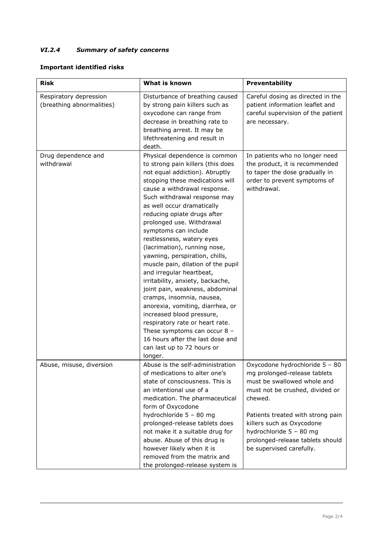## *VI.2.4 Summary of safety concerns*

### **Important identified risks**

| <b>Risk</b>                                         | What is known                                                                                                                                                                                                                                                                                                                                                                                                                                                                                                                                                                                                                                                                                                                                                                                                     | Preventability                                                                                                                                                                                                                                                                                           |
|-----------------------------------------------------|-------------------------------------------------------------------------------------------------------------------------------------------------------------------------------------------------------------------------------------------------------------------------------------------------------------------------------------------------------------------------------------------------------------------------------------------------------------------------------------------------------------------------------------------------------------------------------------------------------------------------------------------------------------------------------------------------------------------------------------------------------------------------------------------------------------------|----------------------------------------------------------------------------------------------------------------------------------------------------------------------------------------------------------------------------------------------------------------------------------------------------------|
| Respiratory depression<br>(breathing abnormalities) | Disturbance of breathing caused<br>by strong pain killers such as<br>oxycodone can range from<br>decrease in breathing rate to<br>breathing arrest. It may be<br>lifethreatening and result in<br>death.                                                                                                                                                                                                                                                                                                                                                                                                                                                                                                                                                                                                          | Careful dosing as directed in the<br>patient information leaflet and<br>careful supervision of the patient<br>are necessary.                                                                                                                                                                             |
| Drug dependence and<br>withdrawal                   | Physical dependence is common<br>to strong pain killers (this does<br>not equal addiction). Abruptly<br>stopping these medications will<br>cause a withdrawal response.<br>Such withdrawal response may<br>as well occur dramatically<br>reducing opiate drugs after<br>prolonged use. Withdrawal<br>symptoms can include<br>restlessness, watery eyes<br>(lacrimation), running nose,<br>yawning, perspiration, chills,<br>muscle pain, dilation of the pupil<br>and irregular heartbeat,<br>irritability, anxiety, backache,<br>joint pain, weakness, abdominal<br>cramps, insomnia, nausea,<br>anorexia, vomiting, diarrhea, or<br>increased blood pressure,<br>respiratory rate or heart rate.<br>These symptoms can occur $8 -$<br>16 hours after the last dose and<br>can last up to 72 hours or<br>longer. | In patients who no longer need<br>the product, it is recommended<br>to taper the dose gradually in<br>order to prevent symptoms of<br>withdrawal.                                                                                                                                                        |
| Abuse, misuse, diversion                            | Abuse is the self-administration<br>of medications to alter one's<br>state of consciousness. This is<br>an intentional use of a<br>medication. The pharmaceutical<br>form of Oxycodone<br>hydrochloride 5 - 80 mg<br>prolonged-release tablets does<br>not make it a suitable drug for<br>abuse. Abuse of this drug is<br>however likely when it is<br>removed from the matrix and<br>the prolonged-release system is                                                                                                                                                                                                                                                                                                                                                                                             | Oxycodone hydrochloride 5 - 80<br>mg prolonged-release tablets<br>must be swallowed whole and<br>must not be crushed, divided or<br>chewed.<br>Patients treated with strong pain<br>killers such as Oxycodone<br>hydrochloride 5 - 80 mg<br>prolonged-release tablets should<br>be supervised carefully. |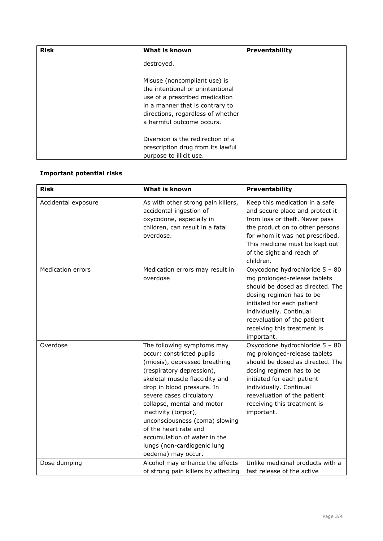| <b>Risk</b> | What is known                                                                                                                                                                                           | <b>Preventability</b> |
|-------------|---------------------------------------------------------------------------------------------------------------------------------------------------------------------------------------------------------|-----------------------|
|             | destroyed.                                                                                                                                                                                              |                       |
|             | Misuse (noncompliant use) is<br>the intentional or unintentional<br>use of a prescribed medication<br>in a manner that is contrary to<br>directions, regardless of whether<br>a harmful outcome occurs. |                       |
|             | Diversion is the redirection of a                                                                                                                                                                       |                       |
|             | prescription drug from its lawful                                                                                                                                                                       |                       |
|             | purpose to illicit use.                                                                                                                                                                                 |                       |

## **Important potential risks**

| <b>Risk</b>              | What is known                                                                                                                                                                                                                                                                                                                                                                                                           | Preventability                                                                                                                                                                                                                                                      |
|--------------------------|-------------------------------------------------------------------------------------------------------------------------------------------------------------------------------------------------------------------------------------------------------------------------------------------------------------------------------------------------------------------------------------------------------------------------|---------------------------------------------------------------------------------------------------------------------------------------------------------------------------------------------------------------------------------------------------------------------|
| Accidental exposure      | As with other strong pain killers,<br>accidental ingestion of<br>oxycodone, especially in<br>children, can result in a fatal<br>overdose.                                                                                                                                                                                                                                                                               | Keep this medication in a safe<br>and secure place and protect it<br>from loss or theft. Never pass<br>the product on to other persons<br>for whom it was not prescribed.<br>This medicine must be kept out<br>of the sight and reach of<br>children.               |
| <b>Medication errors</b> | Medication errors may result in<br>overdose                                                                                                                                                                                                                                                                                                                                                                             | Oxycodone hydrochloride 5 - 80<br>mg prolonged-release tablets<br>should be dosed as directed. The<br>dosing regimen has to be<br>initiated for each patient<br>individually. Continual<br>reevaluation of the patient<br>receiving this treatment is<br>important. |
| Overdose                 | The following symptoms may<br>occur: constricted pupils<br>(miosis), depressed breathing<br>(respiratory depression),<br>skeletal muscle flaccidity and<br>drop in blood pressure. In<br>severe cases circulatory<br>collapse, mental and motor<br>inactivity (torpor),<br>unconsciousness (coma) slowing<br>of the heart rate and<br>accumulation of water in the<br>lungs (non-cardiogenic lung<br>oedema) may occur. | Oxycodone hydrochloride 5 - 80<br>mg prolonged-release tablets<br>should be dosed as directed. The<br>dosing regimen has to be<br>initiated for each patient<br>individually. Continual<br>reevaluation of the patient<br>receiving this treatment is<br>important. |
| Dose dumping             | Alcohol may enhance the effects<br>of strong pain killers by affecting                                                                                                                                                                                                                                                                                                                                                  | Unlike medicinal products with a<br>fast release of the active                                                                                                                                                                                                      |